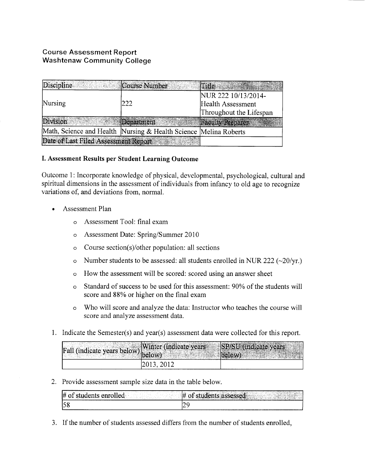## Course Assessment Report Washtenaw Community College

| Discipline                                                       | Course Number | <b>Thile</b>             |  |
|------------------------------------------------------------------|---------------|--------------------------|--|
|                                                                  |               | NUR 222 10/13/2014-      |  |
| Nursing                                                          | 222           | Health Assessment        |  |
|                                                                  |               | Throughout the Lifespan  |  |
| Division                                                         | Department    | <b>Faculty Preparer:</b> |  |
| Math, Science and Health Nursing & Health Science Melina Roberts |               |                          |  |
| Date of Last Filed Assessment Report                             |               |                          |  |

## I. Assessment **Results per Student Learning Outcome**

Outcome 1: Incorporate knowledge of physical, developmental, psychological, cultural and spiritual dimensions in the assessment of individuals from infancy to old age to recognize variations of, and deviations from, normal.

- Assessment Plan
	- o Assessment Tool: final exam
	- o Assessment Date: Spring/Summer 2010
	- o Course section(s)/other population: all sections
	- o Number students to be assessed: all students enrolled in NUR 222 ( $\sim$ 20/yr.)
	- o How the assessment will be scored: scored using an answer sheet
	- o Standard of success to be used for this assessment: 90% of the students will score and 88% or higher on the final exam
	- o Who will score and analyze the data: Instructor who teaches the course will score and analyze assessment data.
- 1. Indicate the Semester(s) and year(s) assessment data were collected for this report.

| Fall (indicate years below) below) | Winter (indicate years SP/SU (indicate years | <b>BEATHER AND A REAL PROPERTY OF A REAL PROPERTY.</b> |
|------------------------------------|----------------------------------------------|--------------------------------------------------------|
|                                    | 2013, 2012                                   |                                                        |

2. Provide assessment sample size data in the table below.

| .<br>#<br>۰۵۰<br>∗∩∙<br>and the second of the page of<br>-17<br>Thursday of the<br>7. <del>.</del> | the control<br>$\sqrt{3}$ ssed $\sqrt{3}$<br>ΙŦ<br>ıе<br>the cost of the cost of the cost<br>THE R. P. LEWIS CO., LANSING, MICH. 49-14039-1-120-2<br>w. K. Tr<br>the City of Labour Auto 2019, The Program of California<br><b>A STUDIES CO. 200</b> |
|----------------------------------------------------------------------------------------------------|------------------------------------------------------------------------------------------------------------------------------------------------------------------------------------------------------------------------------------------------------|
| IC O                                                                                               | --                                                                                                                                                                                                                                                   |
| ື                                                                                                  |                                                                                                                                                                                                                                                      |

3. If the number of students assessed differs from the number of students enrolled,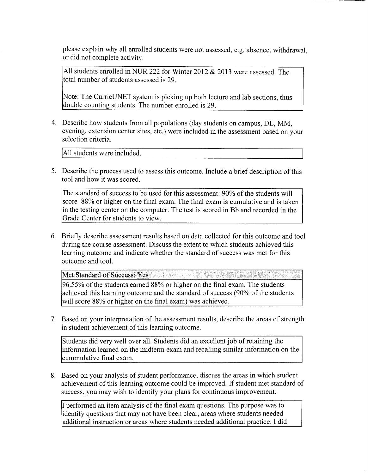please explain why all enrolled students were not assessed, e.g. absence, withdrawal, or did not complete activity.

All students enrolled in NUR 222 for Winter 2012 & 2013 were assessed. The total number of students assessed is 29.

Note: The CurricUNET system is picking up both lecture and lab sections, thus double counting students. The number enrolled is 29.

4. Describe how students from all populations (day students on campus, DL, MM, evening, extension center sites, etc.) were included in the assessment based on your selection criteria.

All students were included.

5. Describe the process used to assess this outcome. Include a brief description of this tool and how it was scored.

The standard of success to be used for this assessment: 90% of the students will score 88% or higher on the final exam. The final exam is cumulative and is taken in the testing center on the computer. The test is scored in Bb and recorded in the Grade Center for students to view.

6. Briefly describe assessment results based on data collected for this outcome and tool during the course assessment. Discuss the extent to which students achieved this learning outcome and indicate whether the standard of success was met for this outcome and tool.

Met Standard of Success: Yes 96.55% of the students earned 88% or higher on the final exam. The students achieved this learning outcome and the standard of success (90% of the students will score 88% or higher on the final exam) was achieved.

7. Based on your interpretation of the assessment results, describe the areas of strength in student achievement of this learning outcome.

Students did very well over all. Students did an excellent job of retaining the information learned on the midterm exam and recalling similar information on the cummulative final exam.

8. Based on your analysis of student performance, discuss the areas in which student achievement of this learning outcome could be improved. If student met standard of success, you may wish to identify your plans for continuous improvement.

I performed an item analysis of the final exam questions. The purpose was to identify questions that may not have been clear, areas where students needed additional instruction or areas where students needed additional practice. I did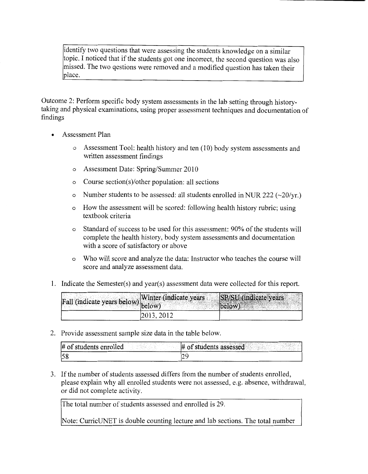identify two questions that were assessing the students knowledge on a similar topic. I noticed that if the students got one incorrect, the second question was also missed. The two qestions were removed and a modified question has taken their place.

Outcome 2: Perform specific body system assessments in the lab setting through historytaking and physical examinations, using proper assessment techniques and documentation of findings

- Assessment Plan
	- o Assessment Tool: health history and ten (1 0) body system assessments and written assessment findings
	- o Assessment Date: Spring/Summer 2010
	- o Course section(s)/other population: all sections
	- o Number students to be assessed: all students enrolled in NUR 222 ( $\sim$ 20/yr.)
	- o How the assessment will be scored: following health history rubric; using textbook criteria
	- o Standard of success to be used for this assessment: 90% of the students will complete the health history, body system assessments and documentation with a score of satisfactory or above
	- o Who will score and analyze the data: Instructor who teaches the course will score and analyze assessment data.
- 1. Indicate the Semester(s) and year(s) assessment data were collected for this report.

|  |            | Tall (indicate years below) Winter (indicate years SP/SU (indicate years selection) below) |
|--|------------|--------------------------------------------------------------------------------------------|
|  | 2013, 2012 |                                                                                            |

2. Provide assessment sample size data in the table below.

| $#$ of students enrolled | $\#$ of students assessed |
|--------------------------|---------------------------|
| 58                       |                           |

3. If the number of students assessed differs from the number of students enrolled, please explain why all enrolled students were not assessed, e.g. absence, withdrawal, or did not complete activity.

The total number of students assessed and enrolled is 29.

Note: CurricUNET is double counting lecture and lab sections. The total number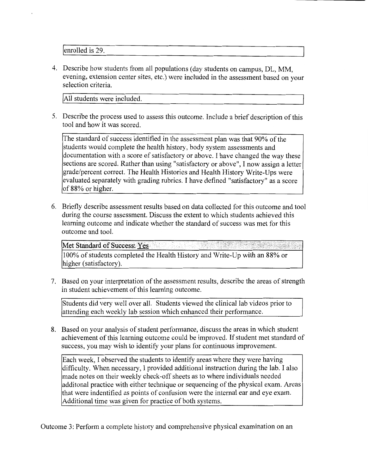enrolled is 29.

4. Describe how students from all populations (day students on campus, DL, MM, evening, extension center sites, etc.) were included in the assessment based on your selection criteria.

All students were included.

5. Describe the process used to assess this outcome. Include a brief description of this tool and how it was scored.

The standard of success identified in the assessment plan was that 90% of the students would complete the health history, body system assessments and documentation with a score of satisfactory or above. I have changed the way these sections are scored. Rather than using "satisfactory or above", I now assign a letter grade/percent correct. The Health Histories and Health History Write-Ups were evaluated separately with grading rubrics. I have defined "satisfactory" as a score of 88% or higher.

6. Briefly describe assessment results based on data collected for this outcome and tool during the course assessment. Discuss the extent to which students achieved this learning outcome and indicate whether the standard of success was met for this outcome and tool.

Met Standard of Success: Yes 100% of students completed the Health History and Write-Up with an 88% or higher (satisfactory).

7. Based on your interpretation of the assessment results, describe the areas of strength in student achievement of this learning outcome.

Students did very well over all. Students viewed the clinical lab videos prior to attending each weekly lab session which enhanced their performance.

8. Based on your analysis of student performance, discuss the areas in which student achievement of this learning outcome could be improved. If student met standard of success, you may wish to identify your plans for continuous improvement.

Each week, I observed the students to identify areas where they were having difficulty. When necessary, I provided additional instruction during the lab. I also made notes on their weekly check-off sheets as to where individuals needed additonal practice with either technique or sequencing of the physical exam. Areas that were indentified as points of confusion were the internal ear and eye exam. Additional time was given for practice of both systems.

Outcome 3: Perform a complete history and comprehensive physical examination on an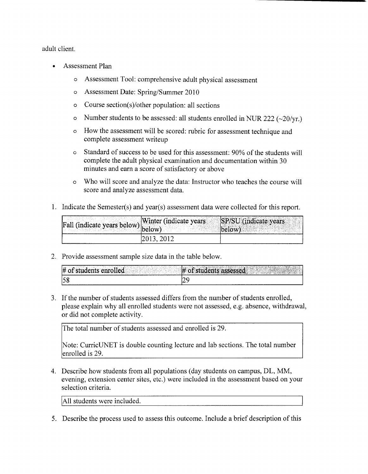adult client.

- Assessment Plan
	- o Assessment Tool: comprehensive adult physical assessment
	- o Assessment Date: Spring/Summer 2010
	- o Course section(s)/other population: all sections
	- o Number students to be assessed: all students enrolled in NUR 222 ( $\sim$ 20/yr.)
	- o How the assessment will be scored: rubric for assessment technique and complete assessment writeup
	- o Standard of success to be used for this assessment: 90% of the students will complete the adult physical examination and documentation within 30 minutes and earn a score of satisfactory or above
	- o Who will score and analyze the data: Instructor who teaches the course will score and analyze assessment data.
- 1. Indicate the Semester(s) and year(s) assessment data were collected for this report.

| [Fall (indicate years below) <sup>[177</sup> ] | Winter (indicate years<br>.low' | $\mathbf{r} = \mathbf{r} + \mathbf{r}$<br>$ \mathrm{SP/SU}($<br>dicate years |
|------------------------------------------------|---------------------------------|------------------------------------------------------------------------------|
|                                                | 2013, 2012                      |                                                                              |

2. Provide assessment sample size data in the table below.

| $-1.11$<br># of students<br>runa bidd<br>$\mathbb{R}$ if $\mathbb{R}^n$<br><b>Anre</b><br>.<br>the Council<br>and the company of the company of<br>. . | <b>SHERMINISHERMAN SHERMINISH</b><br>Santo<br>dents<br>assessed<br><b>Constitution of Constitution</b><br>a compositor de la composición de la composición de la composición de la composición de la composición de la c<br>La composición de la composición de la composición de la composición de la composición de la composición de la |
|--------------------------------------------------------------------------------------------------------------------------------------------------------|--------------------------------------------------------------------------------------------------------------------------------------------------------------------------------------------------------------------------------------------------------------------------------------------------------------------------------------------|
| 58                                                                                                                                                     |                                                                                                                                                                                                                                                                                                                                            |

3. If the number of students assessed differs from the number of students enrolled, please explain why all enrolled students were not assessed, e.g. absence, withdrawal, or did not complete activity.

The total number of students assessed and enrolled is 29.

Note: CurricUNET is double counting lecture and lab sections. The total number enrolled is 29.

4. Describe how students from all populations (day students on campus, DL, MM, evening, extension center sites, etc.) were included in the assessment based on your selection criteria.

All students were included.

5. Describe the process used to assess this outcome. Include a brief description of this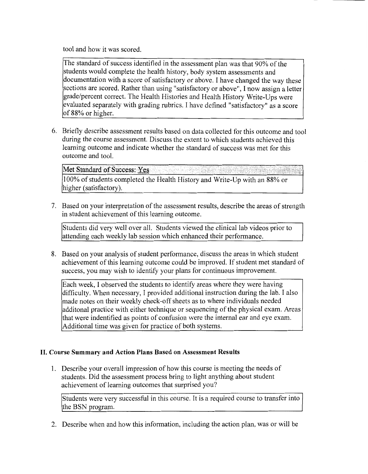tool and how it was scored.

The standard of success identified in the assessment plan was that 90% of the students would complete the health history, body system assessments and documentation with a score of satisfactory or above. I have changed the way these sections are scored. Rather than using "satisfactory or above", I now assign a letter grade/percent correct. The Health Histories and Health History Write-Ups were evaluated separately with grading rubrics. I have defined "satisfactory" as a score of 88% or higher.

6. Briefly describe assessment results based on data collected for this outcome and tool during the course assessment. Discuss the extent to which students achieved this learning outcome and indicate whether the standard of success was met for this outcome and tool.

Met Standard of Success: Yes 100% of students completed the Health History and Write-Up with an 88% or higher (satisfactory).

7. Based on your interpretation of the assessment results, describe the areas of strength in student achievement of this learning outcome.

Students did very well over all. Students viewed the clinical lab videos prior to attending each weekly lab session which enhanced their performance.

8. Based on your analysis of student performance, discuss the areas in which student achievement of this learning outcome could be improved. If student met standard of success, you may wish to identify your plans for continuous improvement.

Each week, I observed the students to identify areas where they were having difficulty. When necessary, I provided additional instruction during the lab. I also made notes on their weekly check-off sheets as to where individuals needed additonal practice with either technique or sequencing of the physical exam. Areas that were indentified as points of confusion were the internal ear and eye exam. Additional time was given for practice of both systems.

## II. Course Summary and Action Plans Based on Assessment Results

1. Describe your overall impression of how this course is meeting the needs of students. Did the assessment process bring to light anything about student achievement of learning outcomes that surprised you?

Students were very successful in this course. It is a required course to transfer into the BSN program.

2. Describe when and how this information, including the action plan, was or will be